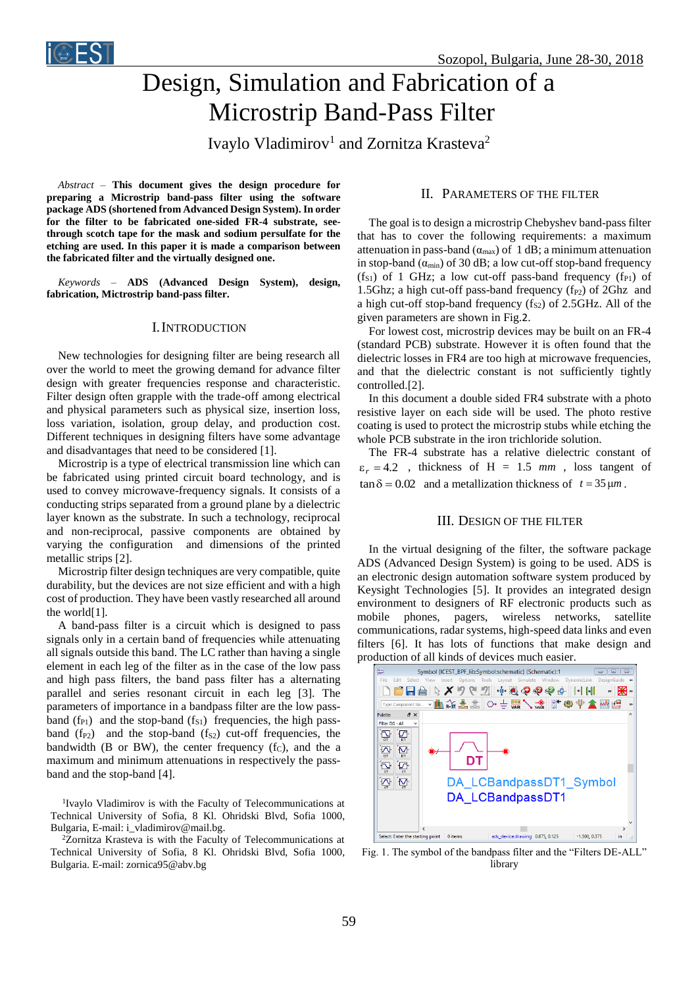

# Design, Simulation and Fabrication of a Microstrip Band-Pass Filter

Ivaylo Vladimirov<sup>1</sup> and Zornitza Krasteva<sup>2</sup>

*Abstract –* **This document gives the design procedure for preparing a Microstrip band-pass filter using the software package ADS (shortened from Advanced Design System). In order for the filter to be fabricated one-sided FR-4 substrate, seethrough scotch tape for the mask and sodium persulfate for the etching are used. In this paper it is made a comparison between the fabricated filter and the virtually designed one.**

*Keywords –* **ADS (Advanced Design System), design, fabrication, Mictrostrip band-pass filter.**

## I.INTRODUCTION

New technologies for designing filter are being research all over the world to meet the growing demand for advance filter design with greater frequencies response and characteristic. Filter design often grapple with the trade-off among electrical and physical parameters such as physical size, insertion loss, loss variation, isolation, group delay, and production cost. Different techniques in designing filters have some advantage and disadvantages that need to be considered [1].

Microstrip is a type of electrical transmission line which can be fabricated using printed circuit board technology, and is used to convey microwave-frequency signals. It consists of a conducting strips separated from a ground plane by a dielectric layer known as the substrate. In such a technology, reciprocal and non-reciprocal, passive components are obtained by varying the configuration and dimensions of the printed metallic strips [2].

Microstrip filter design techniques are very compatible, quite durability, but the devices are not size efficient and with a high cost of production. They have been vastly researched all around the world[1].

A band-pass filter is a circuit which is designed to pass signals only in a certain band of frequencies while attenuating all signals outside this band. The LC rather than having a single element in each leg of the filter as in the case of the low pass and high pass filters, the band pass filter has a alternating parallel and series resonant circuit in each leg [3]. The parameters of importance in a bandpass filter are the low passband  $(f_{P1})$  and the stop-band  $(f_{S1})$  frequencies, the high passband  $(f_{P2})$  and the stop-band  $(f_{S2})$  cut-off frequencies, the bandwidth (B or BW), the center frequency  $(f<sub>C</sub>)$ , and the a maximum and minimum attenuations in respectively the passband and the stop-band [4].

<sup>1</sup>Ivaylo Vladimirov is with the Faculty of Telecommunications at Technical University of Sofia, 8 Kl. Ohridski Blvd, Sofia 1000, Bulgaria, E-mail: i\_vladimirov@mail.bg.

<sup>2</sup>Zornitza Krasteva is with the Faculty of Telecommunications at Technical University of Sofia, 8 Kl. Ohridski Blvd, Sofia 1000, Bulgaria. E-mail: zornica95@abv.bg

## II. PARAMETERS OF THE FILTER

The goal is to design a microstrip Chebyshev band-pass filter that has to cover the following requirements: a maximum attenuation in pass-band ( $\alpha_{\text{max}}$ ) of 1 dB; a minimum attenuation in stop-band  $(\alpha_{min})$  of 30 dB; a low cut-off stop-band frequency  $(f<sub>S1</sub>)$  of 1 GHz; a low cut-off pass-band frequency  $(f<sub>P1</sub>)$  of 1.5Ghz; a high cut-off pass-band frequency  $(f_{P2})$  of 2Ghz and a high cut-off stop-band frequency  $(f_{S2})$  of 2.5GHz. All of the given parameters are shown in Fig.2.

For lowest cost, microstrip devices may be built on an FR-4 (standard PCB) substrate. However it is often found that the dielectric losses in FR4 are too high at microwave frequencies, and that the dielectric constant is not sufficiently tightly controlled.[2].

In this document a double sided FR4 substrate with a photo resistive layer on each side will be used. The photo restive coating is used to protect the microstrip stubs while etching the whole PCB substrate in the iron trichloride solution.

The FR-4 substrate has a relative dielectric constant of  $\varepsilon_r = 4.2$ , thickness of H = 1.5 *mm*, loss tangent of  $\tan \delta = 0.02$  and a metallization thickness of  $t = 35 \mu m$ .

## III. DESIGN OF THE FILTER

In the virtual designing of the filter, the software package ADS (Advanced Design System) is going to be used. ADS is an electronic design automation software system produced by Keysight Technologies [5]. It provides an integrated design environment to designers of RF electronic products such as mobile phones, pagers, wireless networks, satellite communications, radar systems, high-speed data links and even filters [6]. It has lots of functions that make design and production of all kinds of devices much easier.



Fig. 1. The symbol of the bandpass filter and the "Filters DE-ALL" library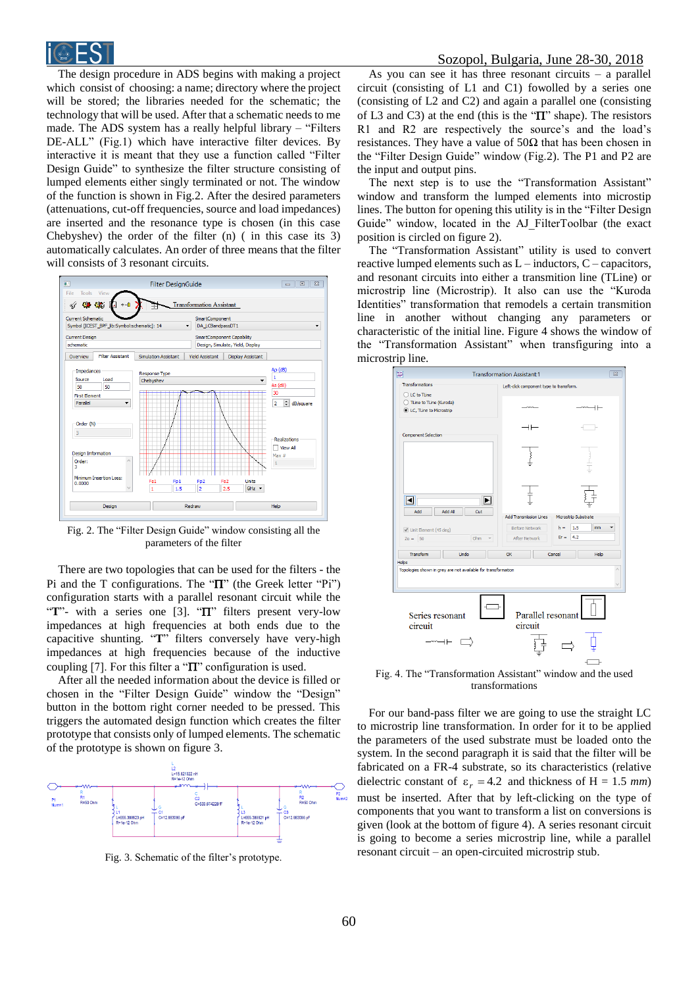

The design procedure in ADS begins with making a project which consist of choosing: a name; directory where the project will be stored; the libraries needed for the schematic; the technology that will be used. After that a schematic needs to me made. The ADS system has a really helpful library – "Filters DE-ALL" (Fig.1) which have interactive filter devices. By interactive it is meant that they use a function called "Filter Design Guide" to synthesize the filter structure consisting of lumped elements either singly terminated or not. The window of the function is shown in Fig.2. After the desired parameters (attenuations, cut-off frequencies, source and load impedances) are inserted and the resonance type is chosen (in this case Chebyshev) the order of the filter (n) ( in this case its 3) automatically calculates. An order of three means that the filter will consists of 3 resonant circuits.



Fig. 2. The "Filter Design Guide" window consisting all the parameters of the filter

There are two topologies that can be used for the filters - the Pi and the T configurations. The " $\Pi$ " (the Greek letter "Pi") configuration starts with a parallel resonant circuit while the " $T$ "- with a series one [3]. " $T$ " filters present very-low impedances at high frequencies at both ends due to the capacitive shunting. "**T**" filters conversely have very-high impedances at high frequencies because of the inductive coupling [7]. For this filter a " $\Pi$ " configuration is used.

After all the needed information about the device is filled or chosen in the "Filter Design Guide" window the "Design" button in the bottom right corner needed to be pressed. This triggers the automated design function which creates the filter prototype that consists only of lumped elements. The schematic of the prototype is shown on figure 3.



Fig. 3. Schematic of the filter's prototype.

As you can see it has three resonant circuits  $-$  a parallel circuit (consisting of L1 and C1) fowolled by a series one (consisting of L2 and C2) and again a parallel one (consisting of L3 and C3) at the end (this is the " $\Pi$ " shape). The resistors R1 and R2 are respectively the source's and the load's resistances. They have a value of  $50\Omega$  that has been chosen in the "Filter Design Guide" window (Fig.2). The P1 and P2 are the input and output pins.

The next step is to use the "Transformation Assistant" window and transform the lumped elements into microstip lines. The button for opening this utility is in the "Filter Design Guide" window, located in the AJ\_FilterToolbar (the exact position is circled on figure 2).

The "Transformation Assistant" utility is used to convert reactive lumped elements such as L – inductors, C – capacitors, and resonant circuits into either a transmition line (TLine) or microstrip line (Microstrip). It also can use the "Kuroda Identities" transformation that remodels a certain transmition line in another without changing any parameters or characteristic of the initial line. Figure 4 shows the window of the "Transformation Assistant" when transfiguring into a microstrip line.



Fig. 4. The "Transformation Assistant" window and the used transformations

For our band-pass filter we are going to use the straight LC to microstrip line transformation. In order for it to be applied the parameters of the used substrate must be loaded onto the system. In the second paragraph it is said that the filter will be fabricated on a FR-4 substrate, so its characteristics (relative dielectric constant of  $\varepsilon_r = 4.2$  and thickness of H = 1.5 *mm*) must be inserted. After that by left-clicking on the type of components that you want to transform a list on conversions is given (look at the bottom of figure 4). A series resonant circuit is going to become a series microstrip line, while a parallel resonant circuit – an open-circuited microstrip stub.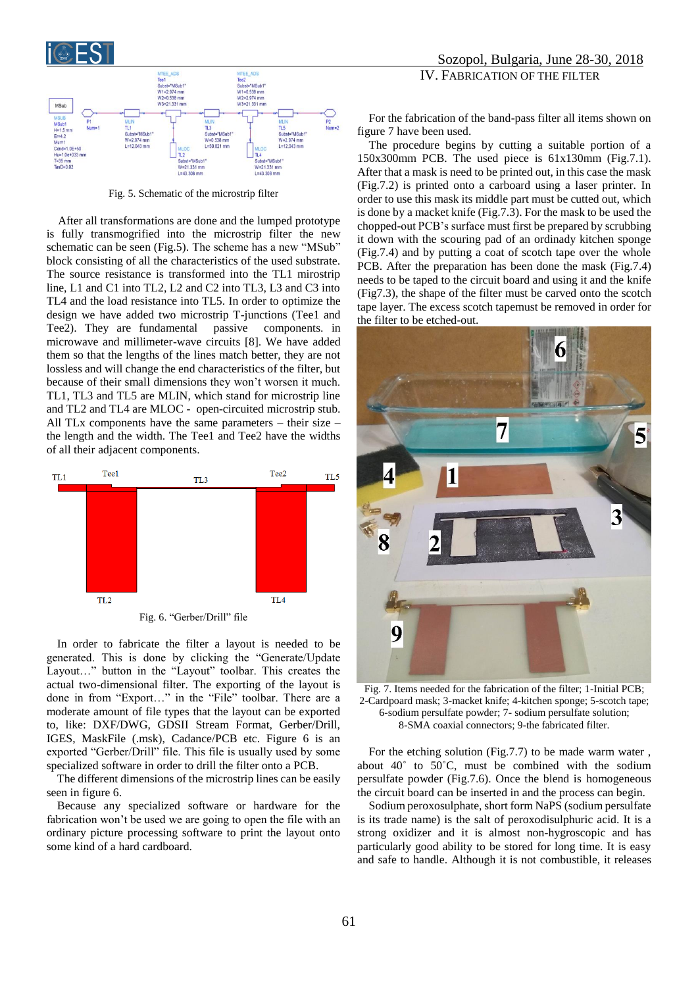



Fig. 5. Schematic of the microstrip filter

After all transformations are done and the lumped prototype is fully transmogrified into the microstrip filter the new schematic can be seen (Fig.5). The scheme has a new "MSub" block consisting of all the characteristics of the used substrate. The source resistance is transformed into the TL1 mirostrip line, L1 and C1 into TL2, L2 and C2 into TL3, L3 and C3 into TL4 and the load resistance into TL5. In order to optimize the design we have added two microstrip T-junctions (Tee1 and Tee2). They are fundamental passive components. in microwave and millimeter-wave circuits [8]. We have added them so that the lengths of the lines match better, they are not lossless and will change the end characteristics of the filter, but because of their small dimensions they won't worsen it much. TL1, TL3 and TL5 are MLIN, which stand for microstrip line and TL2 and TL4 are MLOC - open-circuited microstrip stub. All TLx components have the same parameters – their size – the length and the width. The Tee1 and Tee2 have the widths of all their adjacent components.



In order to fabricate the filter a layout is needed to be generated. This is done by clicking the "Generate/Update Layout…" button in the "Layout" toolbar. This creates the actual two-dimensional filter. The exporting of the layout is done in from "Export…" in the "File" toolbar. There are a moderate amount of file types that the layout can be exported to, like: DXF/DWG, GDSII Stream Format, Gerber/Drill, IGES, MaskFile (.msk), Cadance/PCB etc. Figure 6 is an exported "Gerber/Drill" file. This file is usually used by some specialized software in order to drill the filter onto a PCB.

The different dimensions of the microstrip lines can be easily seen in figure 6.

Because any specialized software or hardware for the fabrication won't be used we are going to open the file with an ordinary picture processing software to print the layout onto some kind of a hard cardboard.

## Sozopol, Bulgaria, June 28-30, 2018 IV. FABRICATION OF THE FILTER

For the fabrication of the band-pass filter all items shown on figure 7 have been used.

The procedure begins by cutting a suitable portion of a 150x300mm PCB. The used piece is 61x130mm (Fig.7.1). After that a mask is need to be printed out, in this case the mask (Fig.7.2) is printed onto a carboard using a laser printer. In order to use this mask its middle part must be cutted out, which is done by a macket knife (Fig.7.3). For the mask to be used the chopped-out PCB's surface must first be prepared by scrubbing it down with the scouring pad of an ordinady kitchen sponge (Fig.7.4) and by putting a coat of scotch tape over the whole PCB. After the preparation has been done the mask (Fig.7.4) needs to be taped to the circuit board and using it and the knife (Fig7.3), the shape of the filter must be carved onto the scotch tape layer. The excess scotch tapemust be removed in order for the filter to be etched-out.



Fig. 7. Items needed for the fabrication of the filter; 1-Initial PCB; 2-Cardpoard mask; 3-macket knife; 4-kitchen sponge; 5-scotch tape; 6-sodium persulfate powder; 7- sodium persulfate solution; 8-SMA coaxial connectors; 9-the fabricated filter.

For the etching solution (Fig.7.7) to be made warm water , about 40˚ to 50˚C, must be combined with the sodium persulfate powder (Fig.7.6). Once the blend is homogeneous the circuit board can be inserted in and the process can begin.

Sodium peroxosulphate, short form NaPS (sodium persulfate is its trade name) is the salt of peroxodisulphuric acid. It is a strong oxidizer and it is almost non-hygroscopic and has particularly good ability to be stored for long time. It is easy and safe to handle. Although it is not combustible, it releases